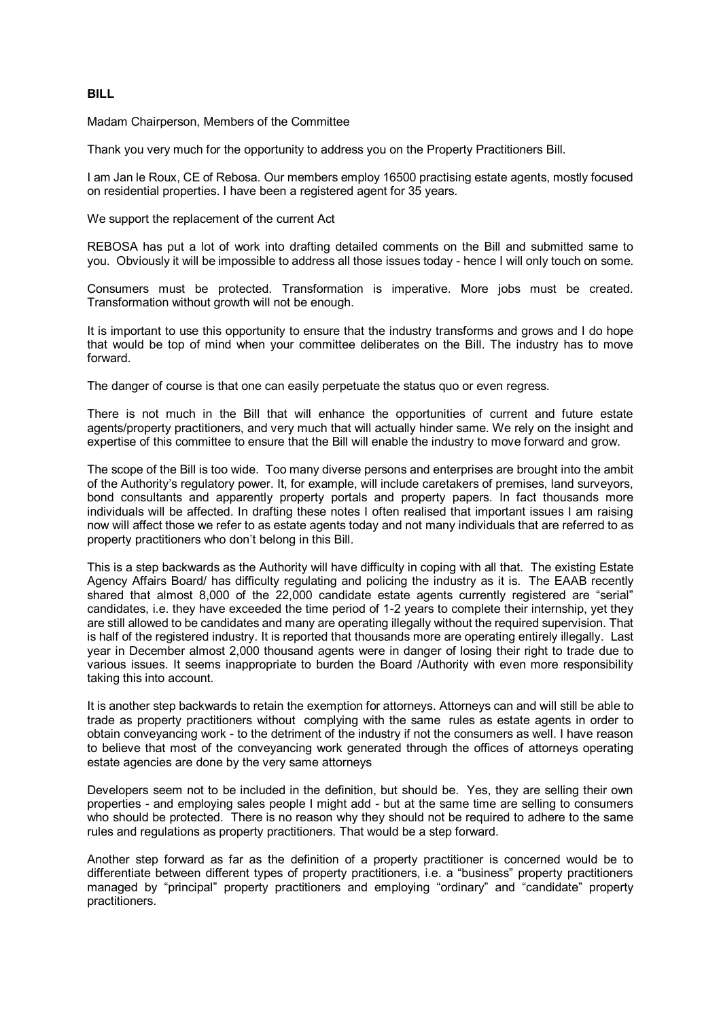## **BILL**

Madam Chairperson, Members of the Committee

Thank you very much for the opportunity to address you on the Property Practitioners Bill.

I am Jan le Roux, CE of Rebosa. Our members employ 16500 practising estate agents, mostly focused on residential properties. I have been a registered agent for 35 years.

We support the replacement of the current Act

REBOSA has put a lot of work into drafting detailed comments on the Bill and submitted same to you. Obviously it will be impossible to address all those issues today - hence I will only touch on some.

Consumers must be protected. Transformation is imperative. More jobs must be created. Transformation without growth will not be enough.

It is important to use this opportunity to ensure that the industry transforms and grows and I do hope that would be top of mind when your committee deliberates on the Bill. The industry has to move forward.

The danger of course is that one can easily perpetuate the status quo or even regress.

There is not much in the Bill that will enhance the opportunities of current and future estate agents/property practitioners, and very much that will actually hinder same. We rely on the insight and expertise of this committee to ensure that the Bill will enable the industry to move forward and grow.

The scope of the Bill is too wide. Too many diverse persons and enterprises are brought into the ambit of the Authority's regulatory power. It, for example, will include caretakers of premises, land surveyors, bond consultants and apparently property portals and property papers. In fact thousands more individuals will be affected. In drafting these notes I often realised that important issues I am raising now will affect those we refer to as estate agents today and not many individuals that are referred to as property practitioners who don't belong in this Bill.

This is a step backwards as the Authority will have difficulty in coping with all that. The existing Estate Agency Affairs Board/ has difficulty regulating and policing the industry as it is. The EAAB recently shared that almost 8,000 of the 22,000 candidate estate agents currently registered are "serial" candidates, i.e. they have exceeded the time period of 1-2 years to complete their internship, yet they are still allowed to be candidates and many are operating illegally without the required supervision. That is half of the registered industry. It is reported that thousands more are operating entirely illegally. Last year in December almost 2,000 thousand agents were in danger of losing their right to trade due to various issues. It seems inappropriate to burden the Board /Authority with even more responsibility taking this into account.

It is another step backwards to retain the exemption for attorneys. Attorneys can and will still be able to trade as property practitioners without complying with the same rules as estate agents in order to obtain conveyancing work - to the detriment of the industry if not the consumers as well. I have reason to believe that most of the conveyancing work generated through the offices of attorneys operating estate agencies are done by the very same attorneys

Developers seem not to be included in the definition, but should be. Yes, they are selling their own properties - and employing sales people I might add - but at the same time are selling to consumers who should be protected. There is no reason why they should not be required to adhere to the same rules and regulations as property practitioners. That would be a step forward.

Another step forward as far as the definition of a property practitioner is concerned would be to differentiate between different types of property practitioners, i.e. a "business" property practitioners managed by "principal" property practitioners and employing "ordinary" and "candidate" property practitioners.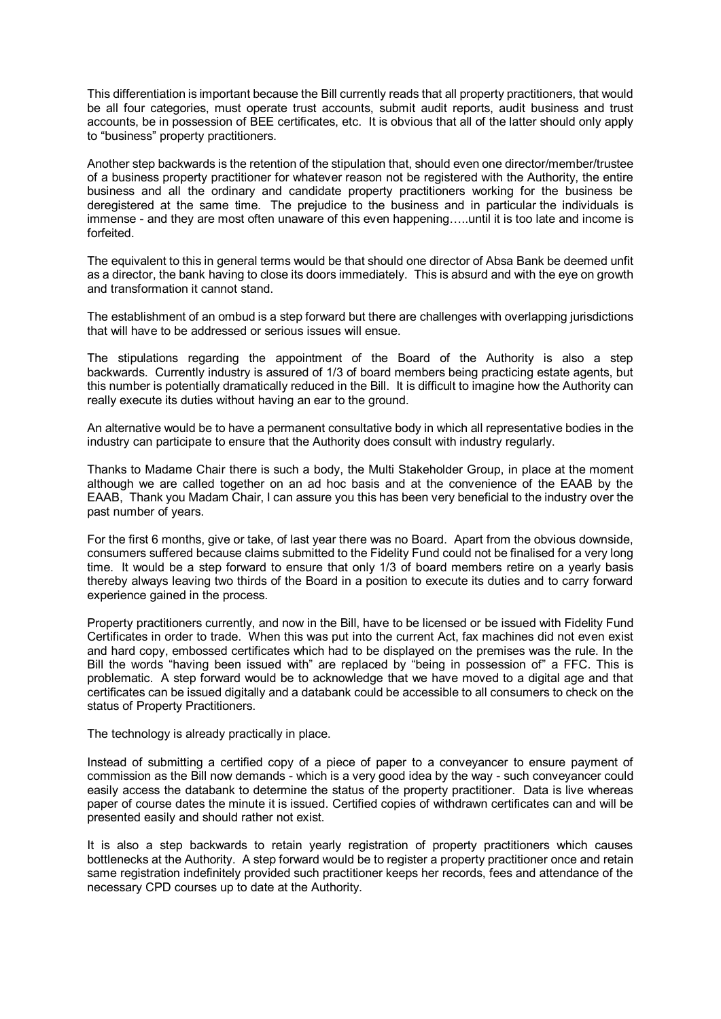This differentiation is important because the Bill currently reads that all property practitioners, that would be all four categories, must operate trust accounts, submit audit reports, audit business and trust accounts, be in possession of BEE certificates, etc. It is obvious that all of the latter should only apply to "business" property practitioners.

Another step backwards is the retention of the stipulation that, should even one director/member/trustee of a business property practitioner for whatever reason not be registered with the Authority, the entire business and all the ordinary and candidate property practitioners working for the business be deregistered at the same time. The prejudice to the business and in particular the individuals is immense - and they are most often unaware of this even happening…..until it is too late and income is forfeited.

The equivalent to this in general terms would be that should one director of Absa Bank be deemed unfit as a director, the bank having to close its doors immediately. This is absurd and with the eye on growth and transformation it cannot stand.

The establishment of an ombud is a step forward but there are challenges with overlapping jurisdictions that will have to be addressed or serious issues will ensue.

The stipulations regarding the appointment of the Board of the Authority is also a step backwards. Currently industry is assured of 1/3 of board members being practicing estate agents, but this number is potentially dramatically reduced in the Bill. It is difficult to imagine how the Authority can really execute its duties without having an ear to the ground.

An alternative would be to have a permanent consultative body in which all representative bodies in the industry can participate to ensure that the Authority does consult with industry regularly.

Thanks to Madame Chair there is such a body, the Multi Stakeholder Group, in place at the moment although we are called together on an ad hoc basis and at the convenience of the EAAB by the EAAB, Thank you Madam Chair, I can assure you this has been very beneficial to the industry over the past number of years.

For the first 6 months, give or take, of last year there was no Board. Apart from the obvious downside, consumers suffered because claims submitted to the Fidelity Fund could not be finalised for a very long time. It would be a step forward to ensure that only 1/3 of board members retire on a yearly basis thereby always leaving two thirds of the Board in a position to execute its duties and to carry forward experience gained in the process.

Property practitioners currently, and now in the Bill, have to be licensed or be issued with Fidelity Fund Certificates in order to trade. When this was put into the current Act, fax machines did not even exist and hard copy, embossed certificates which had to be displayed on the premises was the rule. In the Bill the words "having been issued with" are replaced by "being in possession of" a FFC. This is problematic. A step forward would be to acknowledge that we have moved to a digital age and that certificates can be issued digitally and a databank could be accessible to all consumers to check on the status of Property Practitioners.

The technology is already practically in place.

Instead of submitting a certified copy of a piece of paper to a conveyancer to ensure payment of commission as the Bill now demands - which is a very good idea by the way - such conveyancer could easily access the databank to determine the status of the property practitioner. Data is live whereas paper of course dates the minute it is issued. Certified copies of withdrawn certificates can and will be presented easily and should rather not exist.

It is also a step backwards to retain yearly registration of property practitioners which causes bottlenecks at the Authority. A step forward would be to register a property practitioner once and retain same registration indefinitely provided such practitioner keeps her records, fees and attendance of the necessary CPD courses up to date at the Authority.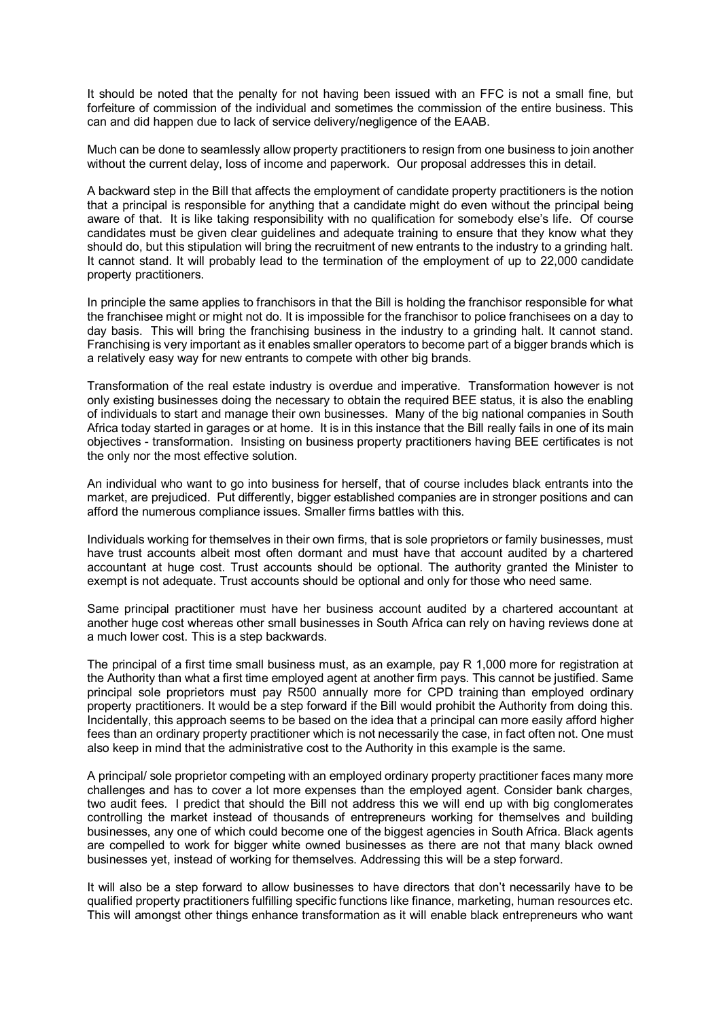It should be noted that the penalty for not having been issued with an FFC is not a small fine, but forfeiture of commission of the individual and sometimes the commission of the entire business. This can and did happen due to lack of service delivery/negligence of the EAAB.

Much can be done to seamlessly allow property practitioners to resign from one business to join another without the current delay, loss of income and paperwork. Our proposal addresses this in detail.

A backward step in the Bill that affects the employment of candidate property practitioners is the notion that a principal is responsible for anything that a candidate might do even without the principal being aware of that. It is like taking responsibility with no qualification for somebody else's life. Of course candidates must be given clear guidelines and adequate training to ensure that they know what they should do, but this stipulation will bring the recruitment of new entrants to the industry to a grinding halt. It cannot stand. It will probably lead to the termination of the employment of up to 22,000 candidate property practitioners.

In principle the same applies to franchisors in that the Bill is holding the franchisor responsible for what the franchisee might or might not do. It is impossible for the franchisor to police franchisees on a day to day basis. This will bring the franchising business in the industry to a grinding halt. It cannot stand. Franchising is very important as it enables smaller operators to become part of a bigger brands which is a relatively easy way for new entrants to compete with other big brands.

Transformation of the real estate industry is overdue and imperative. Transformation however is not only existing businesses doing the necessary to obtain the required BEE status, it is also the enabling of individuals to start and manage their own businesses. Many of the big national companies in South Africa today started in garages or at home. It is in this instance that the Bill really fails in one of its main objectives - transformation. Insisting on business property practitioners having BEE certificates is not the only nor the most effective solution.

An individual who want to go into business for herself, that of course includes black entrants into the market, are prejudiced. Put differently, bigger established companies are in stronger positions and can afford the numerous compliance issues. Smaller firms battles with this.

Individuals working for themselves in their own firms, that is sole proprietors or family businesses, must have trust accounts albeit most often dormant and must have that account audited by a chartered accountant at huge cost. Trust accounts should be optional. The authority granted the Minister to exempt is not adequate. Trust accounts should be optional and only for those who need same.

Same principal practitioner must have her business account audited by a chartered accountant at another huge cost whereas other small businesses in South Africa can rely on having reviews done at a much lower cost. This is a step backwards.

The principal of a first time small business must, as an example, pay R 1,000 more for registration at the Authority than what a first time employed agent at another firm pays. This cannot be justified. Same principal sole proprietors must pay R500 annually more for CPD training than employed ordinary property practitioners. It would be a step forward if the Bill would prohibit the Authority from doing this. Incidentally, this approach seems to be based on the idea that a principal can more easily afford higher fees than an ordinary property practitioner which is not necessarily the case, in fact often not. One must also keep in mind that the administrative cost to the Authority in this example is the same.

A principal/ sole proprietor competing with an employed ordinary property practitioner faces many more challenges and has to cover a lot more expenses than the employed agent. Consider bank charges, two audit fees. I predict that should the Bill not address this we will end up with big conglomerates controlling the market instead of thousands of entrepreneurs working for themselves and building businesses, any one of which could become one of the biggest agencies in South Africa. Black agents are compelled to work for bigger white owned businesses as there are not that many black owned businesses yet, instead of working for themselves. Addressing this will be a step forward.

It will also be a step forward to allow businesses to have directors that don't necessarily have to be qualified property practitioners fulfilling specific functions like finance, marketing, human resources etc. This will amongst other things enhance transformation as it will enable black entrepreneurs who want